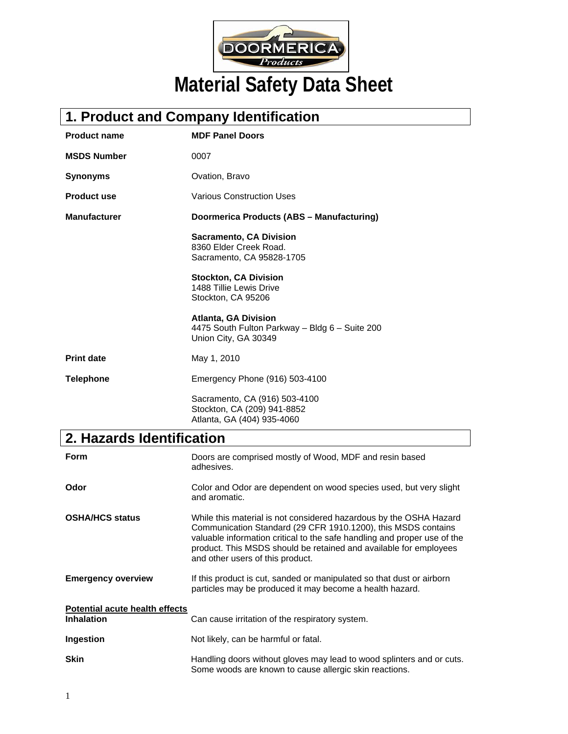

# **1. Product and Company Identification**

| <b>Product name</b> | <b>MDF Panel Doors</b>                                                                                |
|---------------------|-------------------------------------------------------------------------------------------------------|
| <b>MSDS Number</b>  | 0007                                                                                                  |
| <b>Synonyms</b>     | Ovation, Bravo                                                                                        |
| <b>Product use</b>  | <b>Various Construction Uses</b>                                                                      |
| <b>Manufacturer</b> | Doormerica Products (ABS - Manufacturing)                                                             |
|                     | <b>Sacramento, CA Division</b><br>8360 Elder Creek Road.<br>Sacramento, CA 95828-1705                 |
|                     | <b>Stockton, CA Division</b><br>1488 Tillie Lewis Drive<br>Stockton, CA 95206                         |
|                     | <b>Atlanta, GA Division</b><br>4475 South Fulton Parkway - Bldg 6 - Suite 200<br>Union City, GA 30349 |
| <b>Print date</b>   | May 1, 2010                                                                                           |
| <b>Telephone</b>    | Emergency Phone (916) 503-4100                                                                        |
|                     | Sacramento, CA (916) 503-4100<br>Stockton, CA (209) 941-8852<br>Atlanta, GA (404) 935-4060            |

## **2. Hazards Identification**

| <b>Form</b>                                                | Doors are comprised mostly of Wood, MDF and resin based<br>adhesives.                                                                                                                                                                                                                                                    |
|------------------------------------------------------------|--------------------------------------------------------------------------------------------------------------------------------------------------------------------------------------------------------------------------------------------------------------------------------------------------------------------------|
| Odor                                                       | Color and Odor are dependent on wood species used, but very slight<br>and aromatic.                                                                                                                                                                                                                                      |
| <b>OSHA/HCS status</b>                                     | While this material is not considered hazardous by the OSHA Hazard<br>Communication Standard (29 CFR 1910.1200), this MSDS contains<br>valuable information critical to the safe handling and proper use of the<br>product. This MSDS should be retained and available for employees<br>and other users of this product. |
| <b>Emergency overview</b>                                  | If this product is cut, sanded or manipulated so that dust or airborn<br>particles may be produced it may become a health hazard.                                                                                                                                                                                        |
| <b>Potential acute health effects</b><br><b>Inhalation</b> | Can cause irritation of the respiratory system.                                                                                                                                                                                                                                                                          |
| Ingestion                                                  | Not likely, can be harmful or fatal.                                                                                                                                                                                                                                                                                     |
| <b>Skin</b>                                                | Handling doors without gloves may lead to wood splinters and or cuts.<br>Some woods are known to cause allergic skin reactions.                                                                                                                                                                                          |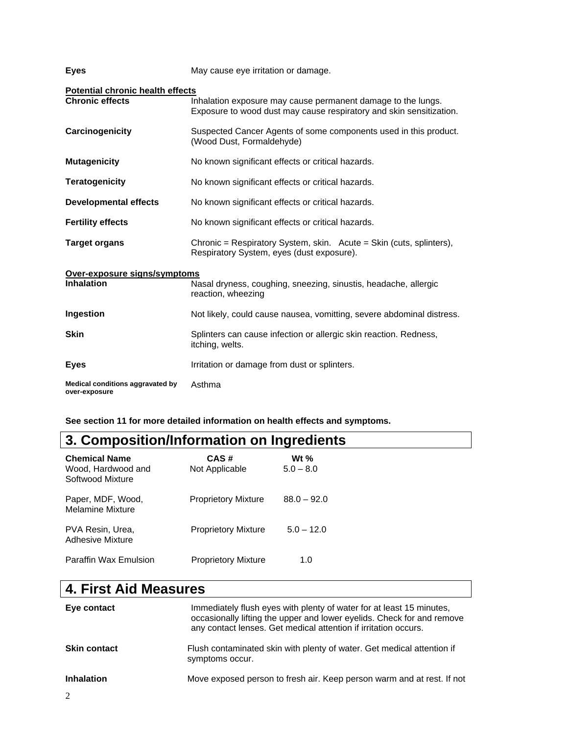| <b>Eyes</b>                                                       | May cause eye irritation or damage.                                                                                                 |
|-------------------------------------------------------------------|-------------------------------------------------------------------------------------------------------------------------------------|
| <b>Potential chronic health effects</b><br><b>Chronic effects</b> | Inhalation exposure may cause permanent damage to the lungs.<br>Exposure to wood dust may cause respiratory and skin sensitization. |
| Carcinogenicity                                                   | Suspected Cancer Agents of some components used in this product.<br>(Wood Dust, Formaldehyde)                                       |
| <b>Mutagenicity</b>                                               | No known significant effects or critical hazards.                                                                                   |
| <b>Teratogenicity</b>                                             | No known significant effects or critical hazards.                                                                                   |
| <b>Developmental effects</b>                                      | No known significant effects or critical hazards.                                                                                   |
| <b>Fertility effects</b>                                          | No known significant effects or critical hazards.                                                                                   |
| <b>Target organs</b>                                              | Chronic = Respiratory System, skin. Acute = Skin (cuts, splinters),<br>Respiratory System, eyes (dust exposure).                    |
| Over-exposure signs/symptoms                                      |                                                                                                                                     |
| <b>Inhalation</b>                                                 | Nasal dryness, coughing, sneezing, sinustis, headache, allergic<br>reaction, wheezing                                               |
| Ingestion                                                         | Not likely, could cause nausea, vomitting, severe abdominal distress.                                                               |
| <b>Skin</b>                                                       | Splinters can cause infection or allergic skin reaction. Redness,<br>itching, welts.                                                |
| <b>Eyes</b>                                                       | Irritation or damage from dust or splinters.                                                                                        |
| Medical conditions aggravated by<br>over-exposure                 | Asthma                                                                                                                              |

**See section 11 for more detailed information on health effects and symptoms.** 

## **3. Composition/Information on Ingredients**

| <b>Chemical Name</b><br>Wood, Hardwood and<br>Softwood Mixture | CAS#<br>Not Applicable     | Wt %<br>$5.0 - 8.0$ |
|----------------------------------------------------------------|----------------------------|---------------------|
| Paper, MDF, Wood,<br><b>Melamine Mixture</b>                   | <b>Proprietory Mixture</b> | $88.0 - 92.0$       |
| PVA Resin, Urea,<br>Adhesive Mixture                           | <b>Proprietory Mixture</b> | $5.0 - 12.0$        |
| <b>Paraffin Wax Emulsion</b>                                   | <b>Proprietory Mixture</b> | 1.0                 |

## **4. First Aid Measures**

| Eye contact         | Immediately flush eyes with plenty of water for at least 15 minutes,<br>occasionally lifting the upper and lower eyelids. Check for and remove<br>any contact lenses. Get medical attention if irritation occurs. |
|---------------------|-------------------------------------------------------------------------------------------------------------------------------------------------------------------------------------------------------------------|
| <b>Skin contact</b> | Flush contaminated skin with plenty of water. Get medical attention if<br>symptoms occur.                                                                                                                         |
| <b>Inhalation</b>   | Move exposed person to fresh air. Keep person warm and at rest. If not                                                                                                                                            |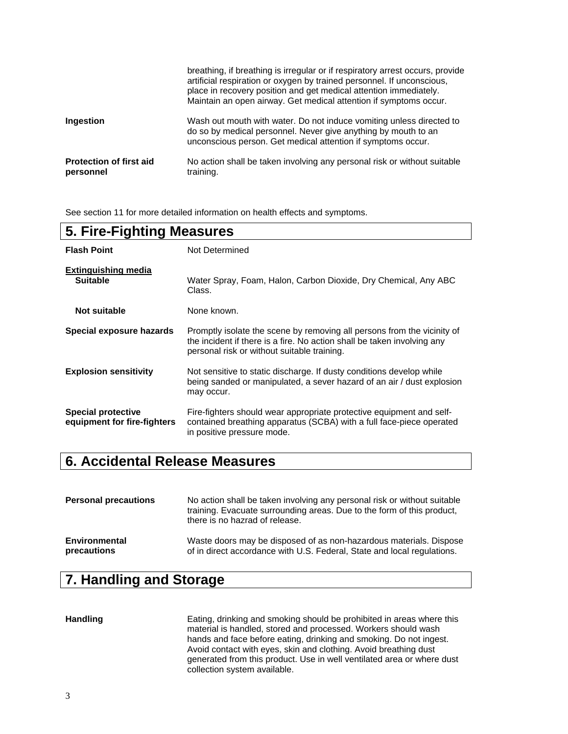|                                             | breathing, if breathing is irregular or if respiratory arrest occurs, provide<br>artificial respiration or oxygen by trained personnel. If unconscious,<br>place in recovery position and get medical attention immediately.<br>Maintain an open airway. Get medical attention if symptoms occur. |
|---------------------------------------------|---------------------------------------------------------------------------------------------------------------------------------------------------------------------------------------------------------------------------------------------------------------------------------------------------|
| Ingestion                                   | Wash out mouth with water. Do not induce vomiting unless directed to<br>do so by medical personnel. Never give anything by mouth to an<br>unconscious person. Get medical attention if symptoms occur.                                                                                            |
| <b>Protection of first aid</b><br>personnel | No action shall be taken involving any personal risk or without suitable<br>training.                                                                                                                                                                                                             |

See section 11 for more detailed information on health effects and symptoms.

| 5. Fire-Fighting Measures                                |                                                                                                                                                                                                   |
|----------------------------------------------------------|---------------------------------------------------------------------------------------------------------------------------------------------------------------------------------------------------|
| <b>Flash Point</b>                                       | Not Determined                                                                                                                                                                                    |
| <b>Extinguishing media</b><br><b>Suitable</b>            | Water Spray, Foam, Halon, Carbon Dioxide, Dry Chemical, Any ABC<br>Class.                                                                                                                         |
| Not suitable                                             | None known.                                                                                                                                                                                       |
| Special exposure hazards                                 | Promptly isolate the scene by removing all persons from the vicinity of<br>the incident if there is a fire. No action shall be taken involving any<br>personal risk or without suitable training. |
| <b>Explosion sensitivity</b>                             | Not sensitive to static discharge. If dusty conditions develop while<br>being sanded or manipulated, a sever hazard of an air / dust explosion<br>may occur.                                      |
| <b>Special protective</b><br>equipment for fire-fighters | Fire-fighters should wear appropriate protective equipment and self-<br>contained breathing apparatus (SCBA) with a full face-piece operated<br>in positive pressure mode.                        |

#### **6. Accidental Release Measures**

| <b>Personal precautions</b> | No action shall be taken involving any personal risk or without suitable<br>training. Evacuate surrounding areas. Due to the form of this product,<br>there is no hazrad of release. |
|-----------------------------|--------------------------------------------------------------------------------------------------------------------------------------------------------------------------------------|
| Environmental               | Waste doors may be disposed of as non-hazardous materials. Dispose                                                                                                                   |
| precautions                 | of in direct accordance with U.S. Federal, State and local regulations.                                                                                                              |

## **7. Handling and Storage**

**Handling** Eating, drinking and smoking should be prohibited in areas where this material is handled, stored and processed. Workers should wash hands and face before eating, drinking and smoking. Do not ingest. Avoid contact with eyes, skin and clothing. Avoid breathing dust generated from this product. Use in well ventilated area or where dust collection system available.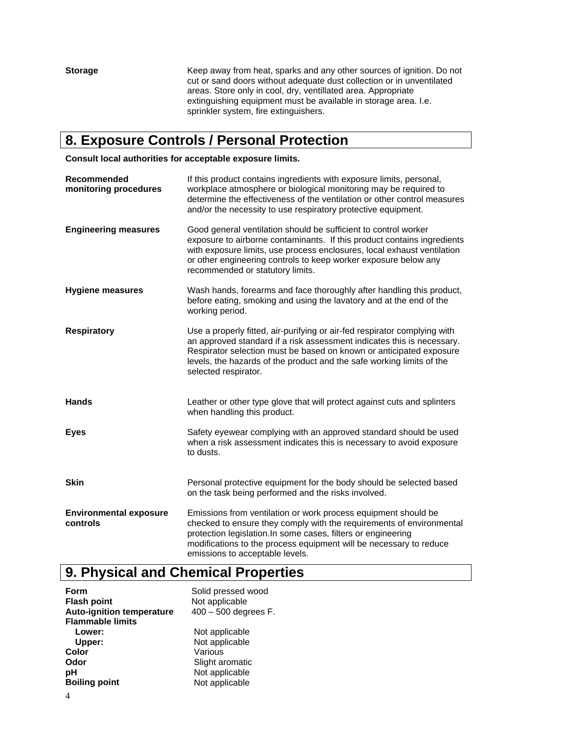**Storage** Keep away from heat, sparks and any other sources of ignition. Do not cut or sand doors without adequate dust collection or in unventilated areas. Store only in cool, dry, ventillated area. Appropriate extinguishing equipment must be available in storage area. I.e. sprinkler system, fire extinguishers.

## **8. Exposure Controls / Personal Protection**

**Consult local authorities for acceptable exposure limits.** 

| Recommended<br>monitoring procedures      | If this product contains ingredients with exposure limits, personal,<br>workplace atmosphere or biological monitoring may be required to<br>determine the effectiveness of the ventilation or other control measures<br>and/or the necessity to use respiratory protective equipment.                                        |
|-------------------------------------------|------------------------------------------------------------------------------------------------------------------------------------------------------------------------------------------------------------------------------------------------------------------------------------------------------------------------------|
| <b>Engineering measures</b>               | Good general ventilation should be sufficient to control worker<br>exposure to airborne contaminants. If this product contains ingredients<br>with exposure limits, use process enclosures, local exhaust ventilation<br>or other engineering controls to keep worker exposure below any<br>recommended or statutory limits. |
| <b>Hygiene measures</b>                   | Wash hands, forearms and face thoroughly after handling this product,<br>before eating, smoking and using the lavatory and at the end of the<br>working period.                                                                                                                                                              |
| <b>Respiratory</b>                        | Use a properly fitted, air-purifying or air-fed respirator complying with<br>an approved standard if a risk assessment indicates this is necessary.<br>Respirator selection must be based on known or anticipated exposure<br>levels, the hazards of the product and the safe working limits of the<br>selected respirator.  |
| <b>Hands</b>                              | Leather or other type glove that will protect against cuts and splinters<br>when handling this product.                                                                                                                                                                                                                      |
| <b>Eyes</b>                               | Safety eyewear complying with an approved standard should be used<br>when a risk assessment indicates this is necessary to avoid exposure<br>to dusts.                                                                                                                                                                       |
| <b>Skin</b>                               | Personal protective equipment for the body should be selected based<br>on the task being performed and the risks involved.                                                                                                                                                                                                   |
| <b>Environmental exposure</b><br>controls | Emissions from ventilation or work process equipment should be<br>checked to ensure they comply with the requirements of environmental<br>protection legislation.In some cases, filters or engineering<br>modifications to the process equipment will be necessary to reduce<br>emissions to acceptable levels.              |

## **9. Physical and Chemical Properties**

| Form                             | Solid pressed wood     |
|----------------------------------|------------------------|
| <b>Flash point</b>               | Not applicable         |
| <b>Auto-ignition temperature</b> | $400 - 500$ degrees F. |
| <b>Flammable limits</b>          |                        |
| Lower:                           | Not applicable         |
| Upper:                           | Not applicable         |
| Color                            | Various                |
| Odor                             | Slight aromatic        |
| рH                               | Not applicable         |
| <b>Boiling point</b>             | Not applicable         |
|                                  |                        |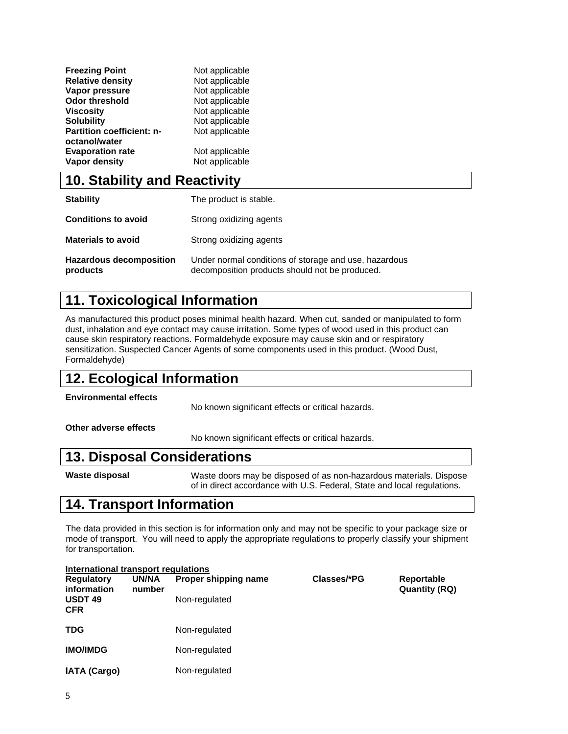| <b>Freezing Point</b>            | Not applicable |
|----------------------------------|----------------|
| <b>Relative density</b>          | Not applicable |
| Vapor pressure                   | Not applicable |
| <b>Odor threshold</b>            | Not applicable |
| <b>Viscosity</b>                 | Not applicable |
| <b>Solubility</b>                | Not applicable |
| <b>Partition coefficient: n-</b> | Not applicable |
| octanol/water                    |                |
| <b>Evaporation rate</b>          | Not applicable |
| <b>Vapor density</b>             | Not applicable |

#### **10. Stability and Reactivity**

| <b>Stability</b>                           | The product is stable.                                                                                  |
|--------------------------------------------|---------------------------------------------------------------------------------------------------------|
| <b>Conditions to avoid</b>                 | Strong oxidizing agents                                                                                 |
| <b>Materials to avoid</b>                  | Strong oxidizing agents                                                                                 |
| <b>Hazardous decomposition</b><br>products | Under normal conditions of storage and use, hazardous<br>decomposition products should not be produced. |

## **11. Toxicological Information**

As manufactured this product poses minimal health hazard. When cut, sanded or manipulated to form dust, inhalation and eye contact may cause irritation. Some types of wood used in this product can cause skin respiratory reactions. Formaldehyde exposure may cause skin and or respiratory sensitization. Suspected Cancer Agents of some components used in this product. (Wood Dust, Formaldehyde)

## **12. Ecological Information**

**Environmental effects**

No known significant effects or critical hazards.

**Other adverse effects** 

No known significant effects or critical hazards.

#### **13. Disposal Considerations**

**Waste disposal** Waste doors may be disposed of as non-hazardous materials. Dispose of in direct accordance with U.S. Federal, State and local regulations.

## **14. Transport Information**

The data provided in this section is for information only and may not be specific to your package size or mode of transport. You will need to apply the appropriate regulations to properly classify your shipment for transportation.

| International transport regulations |                 |                      |             |                                    |  |
|-------------------------------------|-----------------|----------------------|-------------|------------------------------------|--|
| <b>Regulatory</b><br>information    | UN/NA<br>number | Proper shipping name | Classes/*PG | Reportable<br><b>Quantity (RQ)</b> |  |
| <b>USDT 49</b><br><b>CFR</b>        |                 | Non-regulated        |             |                                    |  |
| <b>TDG</b>                          |                 | Non-regulated        |             |                                    |  |
| <b>IMO/IMDG</b>                     |                 | Non-regulated        |             |                                    |  |
| <b>IATA (Cargo)</b>                 |                 | Non-regulated        |             |                                    |  |